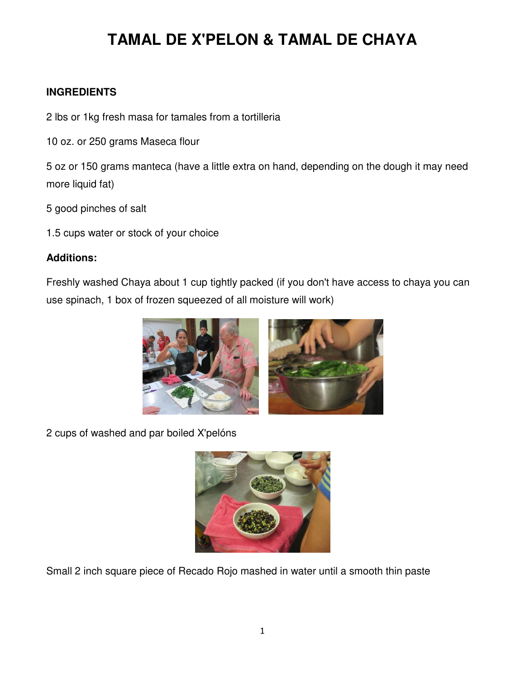#### **INGREDIENTS**

2 lbs or 1kg fresh masa for tamales from a tortilleria

10 oz. or 250 grams Maseca flour

5 oz or 150 grams manteca (have a little extra on hand, depending on the dough it may need more liquid fat)

5 good pinches of salt

1.5 cups water or stock of your choice

#### **Additions:**

Freshly washed Chaya about 1 cup tightly packed (if you don't have access to chaya you can use spinach, 1 box of frozen squeezed of all moisture will work)



2 cups of washed and par boiled X'pelóns



Small 2 inch square piece of Recado Rojo mashed in water until a smooth thin paste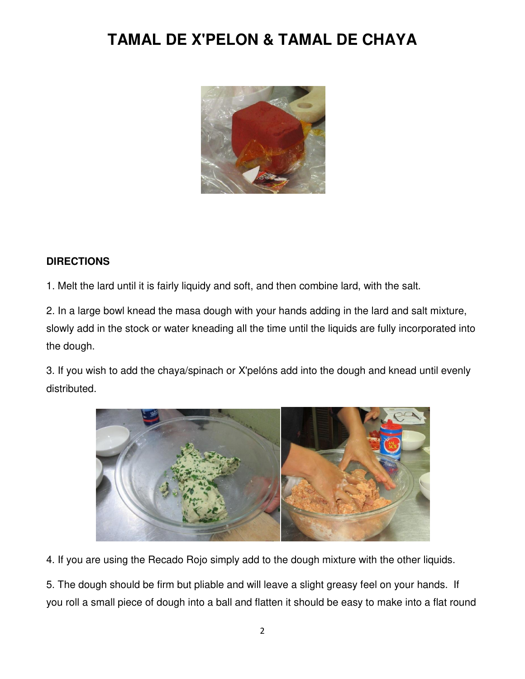

#### **DIRECTIONS**

1. Melt the lard until it is fairly liquidy and soft, and then combine lard, with the salt.

2. In a large bowl knead the masa dough with your hands adding in the lard and salt mixture, slowly add in the stock or water kneading all the time until the liquids are fully incorporated into the dough.

3. If you wish to add the chaya/spinach or X'pelóns add into the dough and knead until evenly distributed.



4. If you are using the Recado Rojo simply add to the dough mixture with the other liquids.

5. The dough should be firm but pliable and will leave a slight greasy feel on your hands. If you roll a small piece of dough into a ball and flatten it should be easy to make into a flat round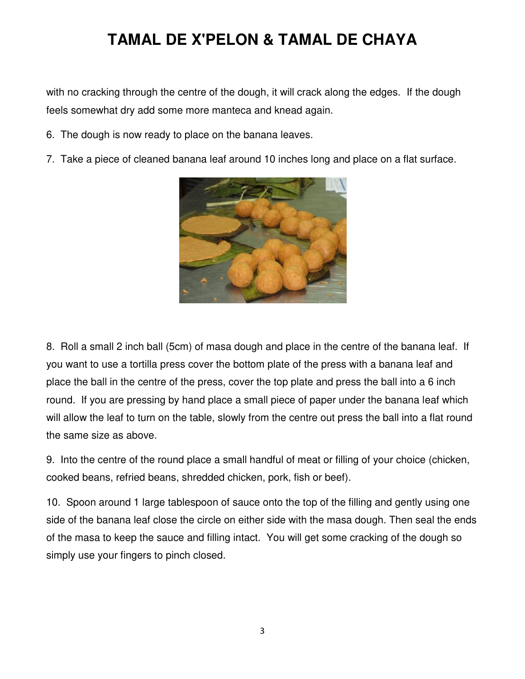with no cracking through the centre of the dough, it will crack along the edges. If the dough feels somewhat dry add some more manteca and knead again.

- 6. The dough is now ready to place on the banana leaves.
- 7. Take a piece of cleaned banana leaf around 10 inches long and place on a flat surface.



8. Roll a small 2 inch ball (5cm) of masa dough and place in the centre of the banana leaf. If you want to use a tortilla press cover the bottom plate of the press with a banana leaf and place the ball in the centre of the press, cover the top plate and press the ball into a 6 inch round. If you are pressing by hand place a small piece of paper under the banana leaf which will allow the leaf to turn on the table, slowly from the centre out press the ball into a flat round the same size as above.

9. Into the centre of the round place a small handful of meat or filling of your choice (chicken, cooked beans, refried beans, shredded chicken, pork, fish or beef).

10. Spoon around 1 large tablespoon of sauce onto the top of the filling and gently using one side of the banana leaf close the circle on either side with the masa dough. Then seal the ends of the masa to keep the sauce and filling intact. You will get some cracking of the dough so simply use your fingers to pinch closed.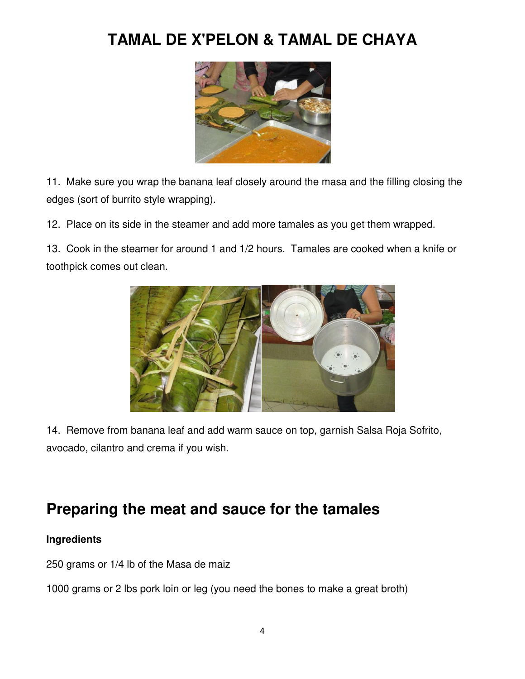

11. Make sure you wrap the banana leaf closely around the masa and the filling closing the edges (sort of burrito style wrapping).

12. Place on its side in the steamer and add more tamales as you get them wrapped.

13. Cook in the steamer for around 1 and 1/2 hours. Tamales are cooked when a knife or toothpick comes out clean.



14. Remove from banana leaf and add warm sauce on top, garnish Salsa Roja Sofrito, avocado, cilantro and crema if you wish.

### **Preparing the meat and sauce for the tamales**

#### **Ingredients**

250 grams or 1/4 lb of the Masa de maiz

1000 grams or 2 lbs pork loin or leg (you need the bones to make a great broth)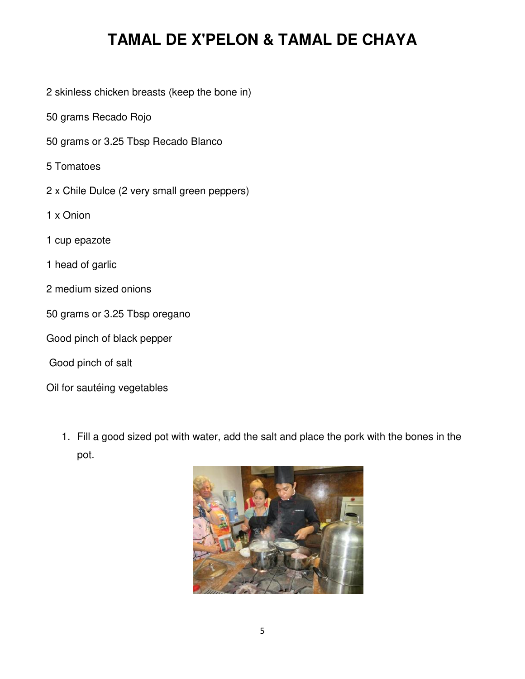- 2 skinless chicken breasts (keep the bone in)
- 50 grams Recado Rojo
- 50 grams or 3.25 Tbsp Recado Blanco
- 5 Tomatoes
- 2 x Chile Dulce (2 very small green peppers)
- 1 x Onion
- 1 cup epazote
- 1 head of garlic
- 2 medium sized onions
- 50 grams or 3.25 Tbsp oregano
- Good pinch of black pepper
- Good pinch of salt
- Oil for sautéing vegetables
	- 1. Fill a good sized pot with water, add the salt and place the pork with the bones in the pot.

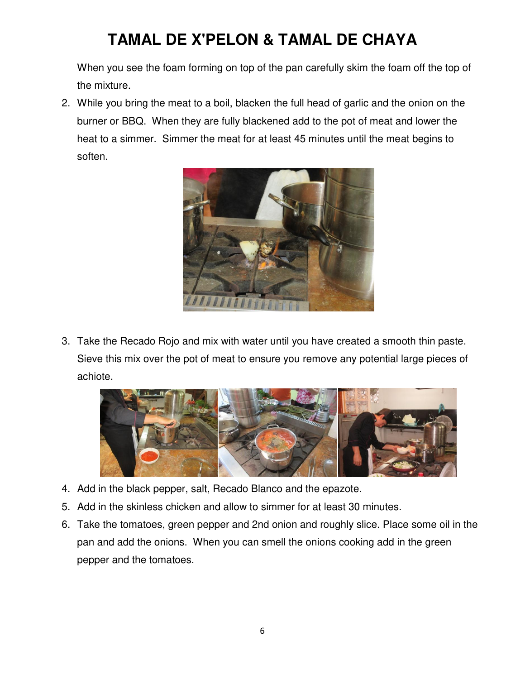When you see the foam forming on top of the pan carefully skim the foam off the top of the mixture.

2. While you bring the meat to a boil, blacken the full head of garlic and the onion on the burner or BBQ. When they are fully blackened add to the pot of meat and lower the heat to a simmer. Simmer the meat for at least 45 minutes until the meat begins to soften.



3. Take the Recado Rojo and mix with water until you have created a smooth thin paste. Sieve this mix over the pot of meat to ensure you remove any potential large pieces of achiote.



- 4. Add in the black pepper, salt, Recado Blanco and the epazote.
- 5. Add in the skinless chicken and allow to simmer for at least 30 minutes.
- 6. Take the tomatoes, green pepper and 2nd onion and roughly slice. Place some oil in the pan and add the onions. When you can smell the onions cooking add in the green pepper and the tomatoes.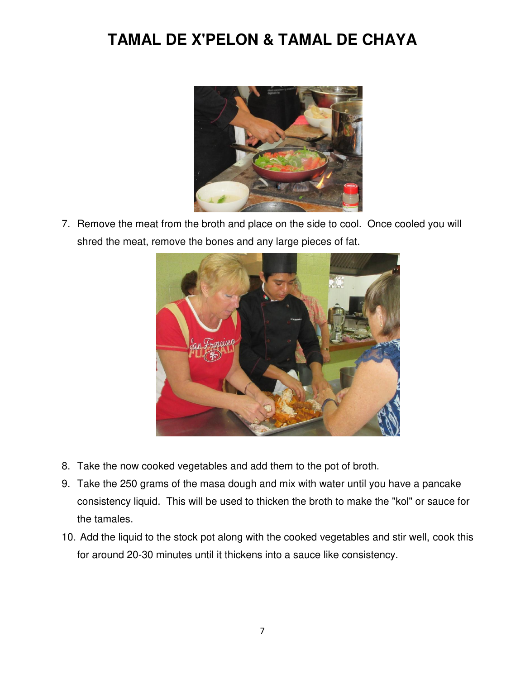

7. Remove the meat from the broth and place on the side to cool. Once cooled you will shred the meat, remove the bones and any large pieces of fat.



- 8. Take the now cooked vegetables and add them to the pot of broth.
- 9. Take the 250 grams of the masa dough and mix with water until you have a pancake consistency liquid. This will be used to thicken the broth to make the "kol" or sauce for the tamales.
- 10. Add the liquid to the stock pot along with the cooked vegetables and stir well, cook this for around 20-30 minutes until it thickens into a sauce like consistency.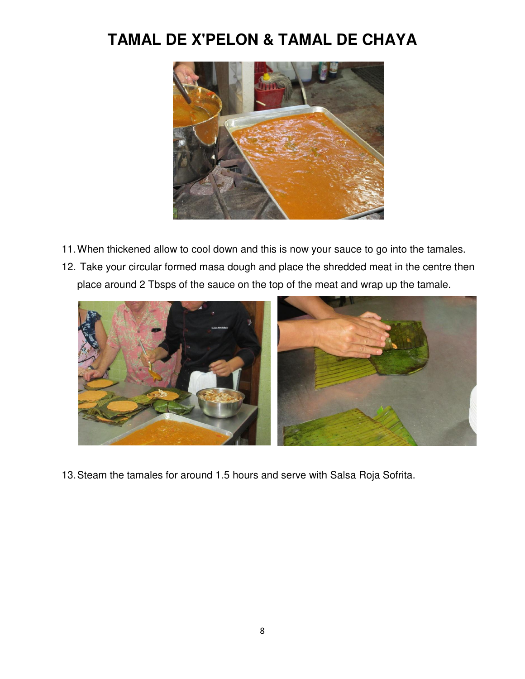

- 11. When thickened allow to cool down and this is now your sauce to go into the tamales.
- 12. Take your circular formed masa dough and place the shredded meat in the centre then place around 2 Tbsps of the sauce on the top of the meat and wrap up the tamale.



13. Steam the tamales for around 1.5 hours and serve with Salsa Roja Sofrita.